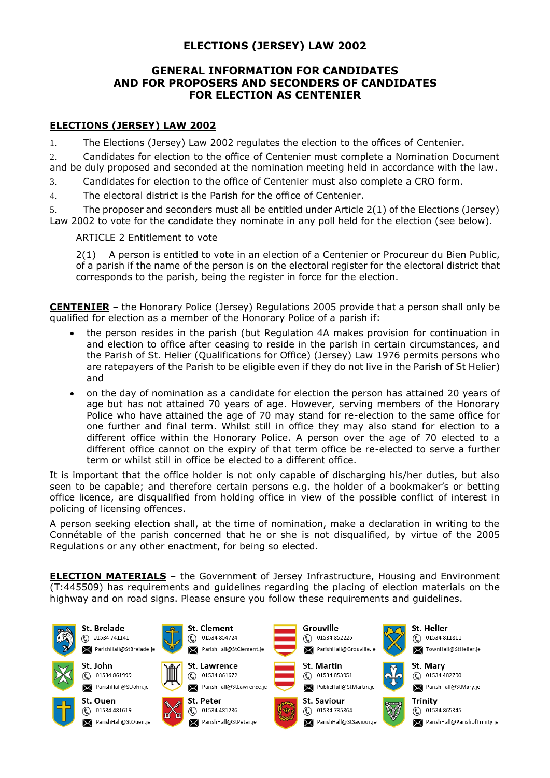# **ELECTIONS (JERSEY) LAW 2002**

### **GENERAL INFORMATION FOR CANDIDATES AND FOR PROPOSERS AND SECONDERS OF CANDIDATES FOR ELECTION AS CENTENIER**

### **ELECTIONS (JERSEY) LAW 2002**

1. The Elections (Jersey) Law 2002 regulates the election to the offices of Centenier.

2. Candidates for election to the office of Centenier must complete a Nomination Document and be duly proposed and seconded at the nomination meeting held in accordance with the law.

3. Candidates for election to the office of Centenier must also complete a CRO form.

4. The electoral district is the Parish for the office of Centenier.

5. The proposer and seconders must all be entitled under Article 2(1) of the Elections (Jersey) Law 2002 to vote for the candidate they nominate in any poll held for the election (see below).

#### ARTICLE 2 Entitlement to vote

2(1) A person is entitled to vote in an election of a Centenier or Procureur du Bien Public, of a parish if the name of the person is on the electoral register for the electoral district that corresponds to the parish, being the register in force for the election.

**CENTENIER** – the Honorary Police (Jersey) Regulations 2005 provide that a person shall only be qualified for election as a member of the Honorary Police of a parish if:

- the person resides in the parish (but Regulation 4A makes provision for continuation in and election to office after ceasing to reside in the parish in certain circumstances, and the Parish of St. Helier (Qualifications for Office) (Jersey) Law 1976 permits persons who are ratepayers of the Parish to be eligible even if they do not live in the Parish of St Helier) and
- on the day of nomination as a candidate for election the person has attained 20 years of age but has not attained 70 years of age. However, serving members of the Honorary Police who have attained the age of 70 may stand for re-election to the same office for one further and final term. Whilst still in office they may also stand for election to a different office within the Honorary Police. A person over the age of 70 elected to a different office cannot on the expiry of that term office be re-elected to serve a further term or whilst still in office be elected to a different office.

It is important that the office holder is not only capable of discharging his/her duties, but also seen to be capable; and therefore certain persons e.g. the holder of a bookmaker's or betting office licence, are disqualified from holding office in view of the possible conflict of interest in policing of licensing offences.

A person seeking election shall, at the time of nomination, make a declaration in writing to the Connétable of the parish concerned that he or she is not disqualified, by virtue of the 2005 Regulations or any other enactment, for being so elected.

**ELECTION MATERIALS** – the Government of Jersey Infrastructure, Housing and Environment (T:445509) has requirements and guidelines regarding the placing of election materials on the highway and on road signs. Please ensure you follow these requirements and guidelines.